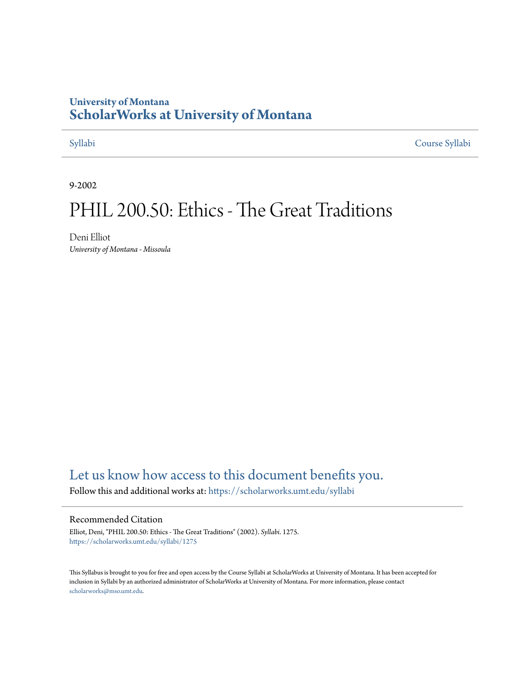# **University of Montana [ScholarWorks at University of Montana](https://scholarworks.umt.edu?utm_source=scholarworks.umt.edu%2Fsyllabi%2F1275&utm_medium=PDF&utm_campaign=PDFCoverPages)**

[Syllabi](https://scholarworks.umt.edu/syllabi?utm_source=scholarworks.umt.edu%2Fsyllabi%2F1275&utm_medium=PDF&utm_campaign=PDFCoverPages) [Course Syllabi](https://scholarworks.umt.edu/course_syllabi?utm_source=scholarworks.umt.edu%2Fsyllabi%2F1275&utm_medium=PDF&utm_campaign=PDFCoverPages)

9-2002

# PHIL 200.50: Ethics - The Great Traditions

Deni Elliot *University of Montana - Missoula*

# [Let us know how access to this document benefits you.](https://goo.gl/forms/s2rGfXOLzz71qgsB2)

Follow this and additional works at: [https://scholarworks.umt.edu/syllabi](https://scholarworks.umt.edu/syllabi?utm_source=scholarworks.umt.edu%2Fsyllabi%2F1275&utm_medium=PDF&utm_campaign=PDFCoverPages)

#### Recommended Citation

Elliot, Deni, "PHIL 200.50: Ethics - The Great Traditions" (2002). *Syllabi*. 1275. [https://scholarworks.umt.edu/syllabi/1275](https://scholarworks.umt.edu/syllabi/1275?utm_source=scholarworks.umt.edu%2Fsyllabi%2F1275&utm_medium=PDF&utm_campaign=PDFCoverPages)

This Syllabus is brought to you for free and open access by the Course Syllabi at ScholarWorks at University of Montana. It has been accepted for inclusion in Syllabi by an authorized administrator of ScholarWorks at University of Montana. For more information, please contact [scholarworks@mso.umt.edu](mailto:scholarworks@mso.umt.edu).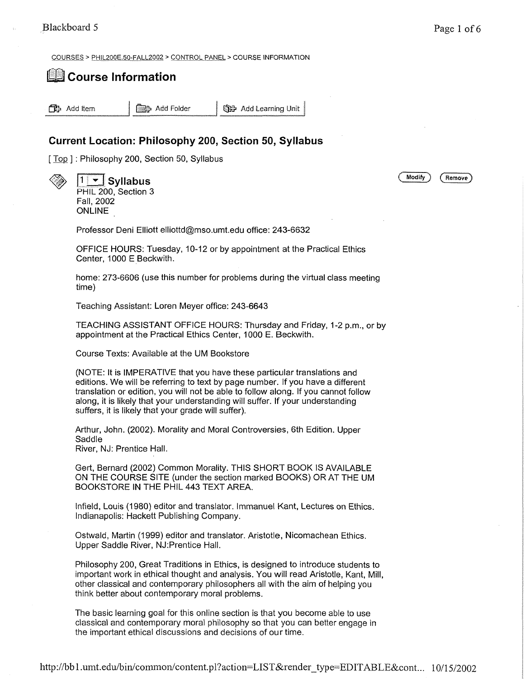COURSES > PH1L200E.50-FALL20Q2 > CONTROL PANEL > COURSE INFORMATION

## **Course Information**

**CB**3 Add Item **| @B3** Add Folder | CB3 Add Learning Unit

### **Current Location: Philosophy 200, Section 50, Syllabus**

[ Top ] : Philosophy 200, Section 50, Syllabus

PHIL 200, Section 3

Fall, 2002 ONLINE

Professor Deni Elliott elliottd@mso.umt.edu office: 243-6632

OFFICE HOURS: Tuesday, 10-12 or by appointment at the Practical Ethics Center, 1000 E Beckwith.

home: 273-6606 (use this number for problems during the virtual class meeting time)

Teaching Assistant: Loren Meyer office: 243-6643

TEACHING ASSISTANT OFFICE HOURS: Thursday and Friday, 1-2 p.m., or by appointment at the Practical Ethics Center, 1000 E. Beckwith.

Course Texts: Available at the UM Bookstore

(NOTE: It is IMPERATIVE that you have these particular translations and editions. We will be referring to text by page number. If you have a different translation or edition, you will not be able to follow along. If you cannot follow along, it is likely that your understanding will suffer. If your understanding suffers, it is likely that your grade will suffer).

Arthur, John. (2002). Morality and Moral Controversies, 6th Edition. Upper **Saddle** River, NJ: Prentice Hall.

Gert, Bernard (2002) Common Morality. THIS SHORT BOOK IS AVAILABLE ON THE COURSE SITE (under the section marked BOOKS) OR AT THE UM BOOKSTORE IN THE PHIL 443 TEXT AREA.

Infield, Louis (1980) editor and translator. Immanuel Kant, Lectures on Ethics. Indianapolis: Hackett Publishing Company.

Ostwald, Martin (1999) editor and translator. Aristotle, Nicomachean Ethics. Upper Saddle River, NJ.Prentice Hall.

Philosophy 200, Great Traditions in Ethics, is designed to introduce students to important work in ethical thought and analysis. You will read Aristotle, Kant, Mill, other classical and contemporary philosophers all with the aim of helping you think better about contemporary moral problems.

The basic learning goal for this online section is that you become able to use classical and contemporary moral philosophy so that you can better engage in the important ethical discussions and decisions of our time.

**Syllabus (\* Modify** *{* **Remove}**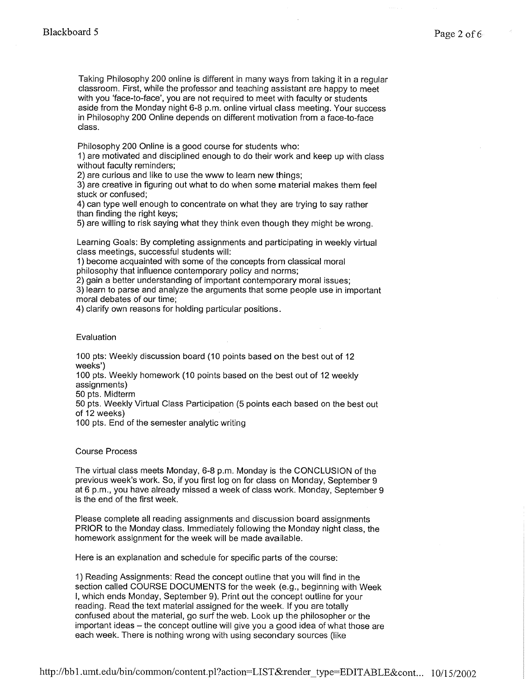Taking Philosophy 200 online is different in many ways from taking it in a regular classroom. First, while the professor and teaching assistant are happy to meet with you 'face-to-face', you are not required to meet with faculty or students aside from the Monday night 6-8 p.m. online virtual class meeting. Your success in Philosophy 200 Online depends on different motivation from a face-to-face class.

Philosophy 200 Online is a good course for students who:

1) are motivated and disciplined enough to do their work and keep up with class without faculty reminders;

2) are curious and like to use the www to learn new things;

3) are creative in figuring out what to do when some material makes them feel stuck or confused;

4) can type well enough to concentrate on what they are trying to say rather than finding the right keys;

5) are willing to risk saying what they think even though they might be wrong.

Learning Goals: By completing assignments and participating in weekly virtual class meetings, successful students will:

1) become acquainted with some of the concepts from classical moral philosophy that influence contemporary policy and norms;

2) gain a better understanding of important contemporary moral issues;

3) learn to parse and analyze the arguments that some people use in important moral debates of our time;

4) clarify own reasons for holding particular positions.

#### Evaluation

100 pts: Weekly discussion board (10 points based on the best out of 12 weeks')

100 pts. Weekly homework (10 points based on the best out of 12 weekly assignments)

50 pts. Midterm

50 pts. Weekly Virtual Class Participation (5 points each based on the best out of 12 weeks)

100 pts. End of the semester analytic writing

Course Process

The virtual class meets Monday, 6-8 p.m. Monday is the CONCLUSION of the previous week's work. So, if you first log on for class on Monday, September 9 at 6 p.m., you have already missed a week of class work. Monday, September 9 is the end of the first week.

Please complete all reading assignments and discussion board assignments PRIOR to the Monday class. Immediately following the Monday night class, the homework assignment for the week will be made available.

Here is an explanation and schedule for specific parts of the course:

1) Reading Assignments: Read the concept outline that you will find in the section called COURSE DOCUMENTS for the week (e.g., beginning with Week I, which ends Monday, September 9). Print out the concept outline for your reading. Read the text material assigned for the week. If you are totally confused about the material, go surf the web. Look up the philosopher or the important ideas – the concept outline will give you a good idea of what those are each week. There is nothing wrong with using secondary sources (like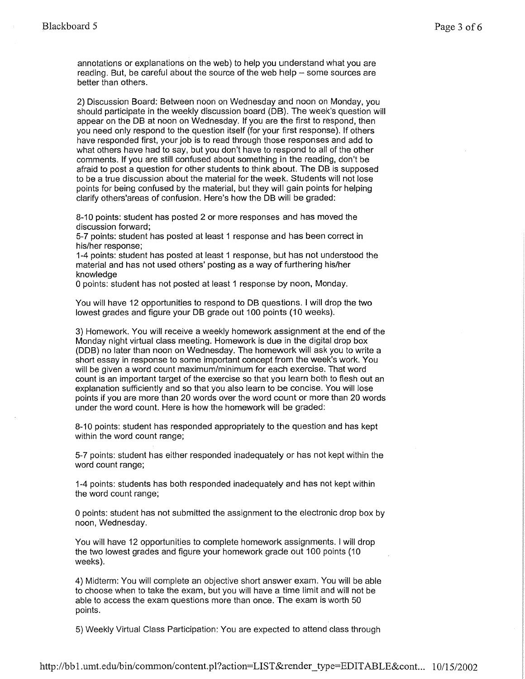annotations or explanations on the web) to help you understand what you are reading. But, be careful about the source of the web help  $-$  some sources are better than others.

2) Discussion Board: Between noon on Wednesday and noon on Monday, you should participate in the weekly discussion board (DB). The week's question will appear on the DB at noon on Wednesday. If you are the first to respond, then you need only respond to the question itself (for your first response). If others have responded first, your job is to read through those responses and add to what others have had to say, but you don't have to respond to all of the other comments. If you are still confused about something in the reading, don't be afraid to post a question for other students to think about. The DB is supposed to be a true discussion about the material for the week. Students will not lose points for being confused by the material, but they will gain points for helping clarify others'areas of confusion. Here's how the DB will be graded:

8-10 points: student has posted 2 or more responses and has moved the discussion forward;

5-7 points: student has posted at least 1 response and has been correct in his/her response;

1-4 points: student has posted at least 1 response, but has not understood the material and has not used others' posting as a way of furthering his/her knowledge

0 points: student has not posted at least 1 response by noon, Monday.

You will have 12 opportunities to respond to DB questions. I will drop the two lowest grades and figure your DB grade out 100 points (10 weeks).

3) Homework. You will receive a weekly homework assignment at the end of the Monday night virtual class meeting. Homework is due in the digital drop box (DDB) no later than noon on Wednesday. The homework will ask you to write a short essay in response to some important concept from the week's work. You will be given a word count maximum/minimum for each exercise. That word count is an important target of the exercise so that you learn both to flesh out an explanation sufficiently and so that you also learn to be concise. You will lose points if you are more than 20 words over the word count or more than 20 words under the word count. Here is how the homework will be graded:

8-10 points: student has responded appropriately to the question and has kept within the word count range;

5-7 points: student has either responded inadequately or has not kept within the word count range;

1-4 points: students has both responded inadequately and has not kept within the word count range;

0 points: student has not submitted the assignment to the electronic drop box by noon, Wednesday.

You will have 12 opportunities to complete homework assignments. I will drop the two lowest grades and figure your homework grade out 100 points (10 weeks).

4) Midterm: You will complete an objective short answer exam. You will be able to choose when to take the exam, but you will have a time limit and will not be able to access the exam questions more than once. The exam is worth 50 points.

5) Weekly Virtual Class Participation: You are expected to attend class through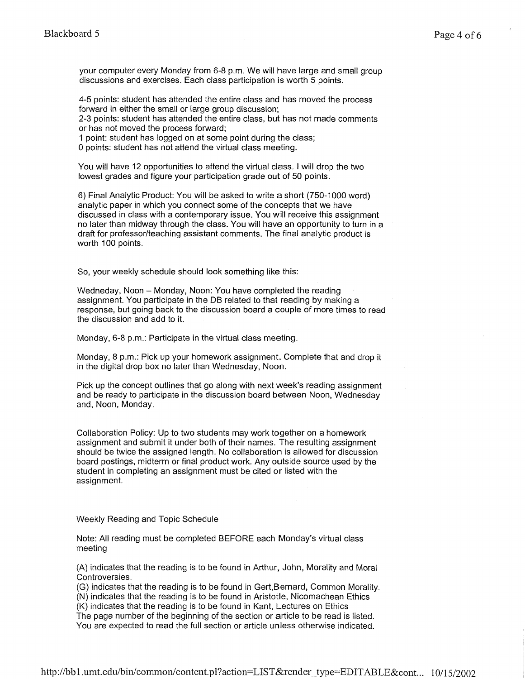your computer every Monday from 6-8 p.m. We will have large and small group discussions and exercises. Each class participation is worth 5 points.

4-5 points: student has attended the entire class and has moved the process forward in either the small or large group discussion;

2-3 points: student has attended the entire class, but has not made comments or has not moved the process forward;

1 point: student has logged on at some point during the class;

0 points: student has not attend the virtual class meeting.

You will have 12 opportunities to attend the virtual class. I will drop the two lowest grades and figure your participation grade out of 50 points.

6) Final Analytic Product: You will be asked to write a short (750-1000 word) analytic paper in which you connect some of the concepts that we have discussed in class with a contemporary issue. You will receive this assignment no later than midway through the class. You will have an opportunity to turn in a draft for professor/teaching assistant comments. The final analytic product is worth 100 points.

So, your weekly schedule should look something like this:

Wedneday, Noon - Monday, Noon: You have completed the reading assignment. You participate in the DB related to that reading by making a response, but going back to the discussion board a couple of more times to read the discussion and add to it.

Monday, 6-8 p.m.: Participate in the virtual class meeting.

Monday, 8 p.m.: Pick up your homework assignment. Complete that and drop it in the digital drop box no later than Wednesday, Noon.

Pick up the concept outlines that go along with next week's reading assignment and be ready to participate in the discussion board between Noon, Wednesday and, Noon, Monday.

Collaboration Policy: Up to two students may work together on a homework assignment and submit it under both of their names. The resulting assignment should be twice the assigned length. No collaboration is allowed for discussion board postings, midterm or final product work. Any outside source used by the student in completing an assignment must be cited or listed with the assignment.

#### Weekly Reading and Topic Schedule

Note: All reading must be completed BEFORE each Monday's virtual class meeting

(A) indicates that the reading is to be found in Arthur, John, Morality and Moral Controversies.

(G) indicates that the reading is to be found in Gert,Bernard, Common Morality. (N) indicates that the reading is to be found in Aristotle, Nicomachean Ethics

(K) indicates that the reading is to be found in Kant, Lectures on Ethics

The page number of the beginning of the section or article to be read is listed. You are expected to read the full section or article unless otherwise indicated.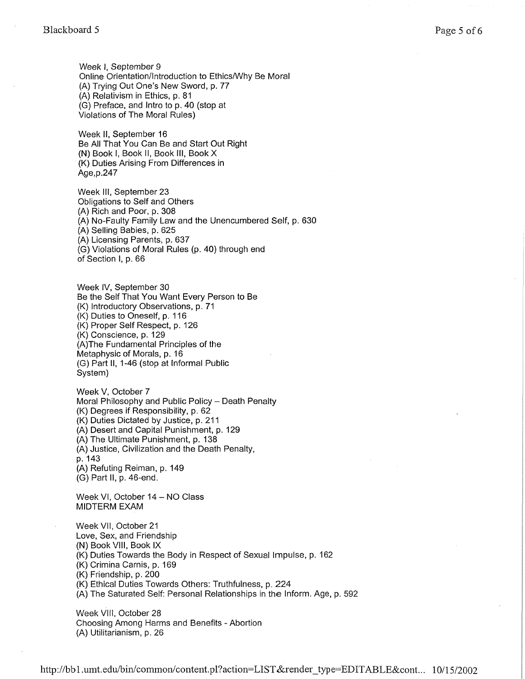Week I, September 9 Online Orientation/Introduction to Ethics/Why Be Moral (A) Trying Out One's New Sword, p. 77 (A) Relativism in Ethics, p. 81 (G) Preface, and Intro to p. 40 (stop at Violations of The Moral Rules)

Week II, September 16 Be All That You Can Be and Start Out Right (N) Book I, Book II, Book III, Book X (K) Duties Arising From Differences in Age,p.247

Week III, September 23 Obligations to Self and Others (A) Rich and Poor, p. 308 (A) No-Faulty Family Law and the Unencumbered Self, p. 630 (A) Selling Babies, p. 625 (A) Licensing Parents, p. 637 (G) Violations of Moral Rules (p. 40) through end of Section I, p. 66

Week IV, September 30 Be the Self That You Want Every Person to Be (K) Introductory Observations, p. 71 (K) Duties to Oneself, p. 116 (K) Proper Self Respect, p. 126 (K) Conscience, p. 129 (A)The Fundamental Principles of the Metaphysic of Morals, p. 16 (G) Part II, 1-46 (stop at Informal Public System)

Week V, October 7 Moral Philosophy and Public Policy - Death Penalty (K) Degrees if Responsibility, p. 62 (K) Duties Dictated by Justice, p. 211 (A) Desert and Capital Punishment, p. 129 (A) The Ultimate Punishment, p. 138 (A) Justice, Civilization and the Death Penalty, p. 143 (A) Refuting Reiman, p. 149 (G) Part II, p. 46-end.

Week VI, October 14 - NO Class MIDTERM EXAM

Week VII, October 21 Love, Sex, and Friendship (N) Book VIII, Book IX (K) Duties Towards the Body in Respect of Sexual Impulse, p. 162 (K) Crimina Carnis, p. 169 (K) Friendship, p. 200 (K) Ethical Duties Towards Others: Truthfulness, p. 224 (A) The Saturated Self: Personal Relationships in the Inform. Age, p. 592

Week VIII, October 28 Choosing Among Harms and Benefits - Abortion (A) Utilitarianism, p. 26